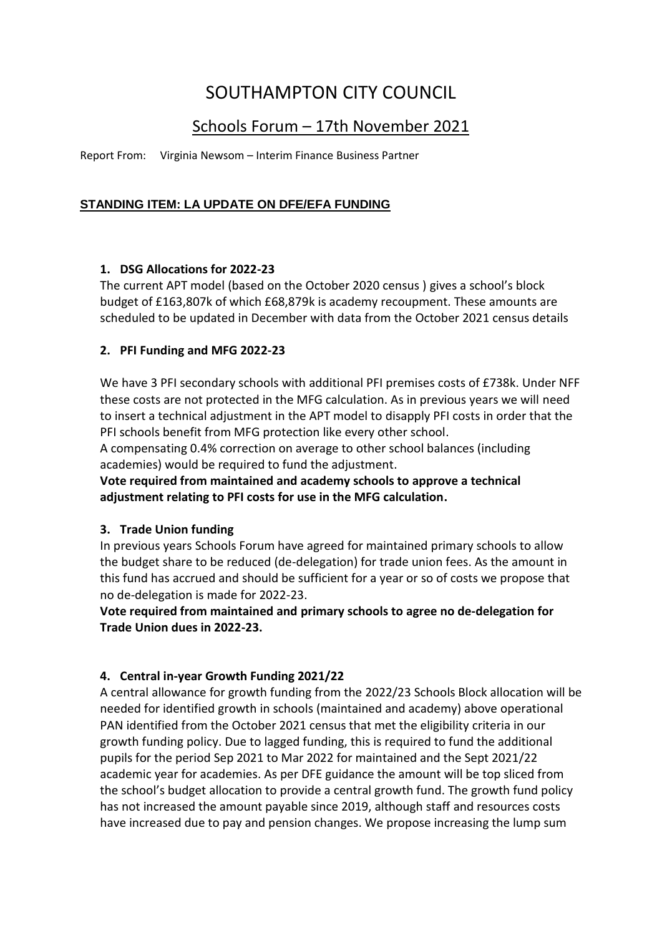# SOUTHAMPTON CITY COUNCIL

# Schools Forum – 17th November 2021

Report From: Virginia Newsom – Interim Finance Business Partner

## **STANDING ITEM: LA UPDATE ON DFE/EFA FUNDING**

#### **1. DSG Allocations for 2022-23**

The current APT model (based on the October 2020 census ) gives a school's block budget of £163,807k of which £68,879k is academy recoupment. These amounts are scheduled to be updated in December with data from the October 2021 census details

#### **2. PFI Funding and MFG 2022-23**

We have 3 PFI secondary schools with additional PFI premises costs of £738k. Under NFF these costs are not protected in the MFG calculation. As in previous years we will need to insert a technical adjustment in the APT model to disapply PFI costs in order that the PFI schools benefit from MFG protection like every other school.

A compensating 0.4% correction on average to other school balances (including academies) would be required to fund the adjustment.

**Vote required from maintained and academy schools to approve a technical adjustment relating to PFI costs for use in the MFG calculation.**

#### **3. Trade Union funding**

In previous years Schools Forum have agreed for maintained primary schools to allow the budget share to be reduced (de-delegation) for trade union fees. As the amount in this fund has accrued and should be sufficient for a year or so of costs we propose that no de-delegation is made for 2022-23.

**Vote required from maintained and primary schools to agree no de-delegation for Trade Union dues in 2022-23.**

### **4. Central in-year Growth Funding 2021/22**

A central allowance for growth funding from the 2022/23 Schools Block allocation will be needed for identified growth in schools (maintained and academy) above operational PAN identified from the October 2021 census that met the eligibility criteria in our growth funding policy. Due to lagged funding, this is required to fund the additional pupils for the period Sep 2021 to Mar 2022 for maintained and the Sept 2021/22 academic year for academies. As per DFE guidance the amount will be top sliced from the school's budget allocation to provide a central growth fund. The growth fund policy has not increased the amount payable since 2019, although staff and resources costs have increased due to pay and pension changes. We propose increasing the lump sum